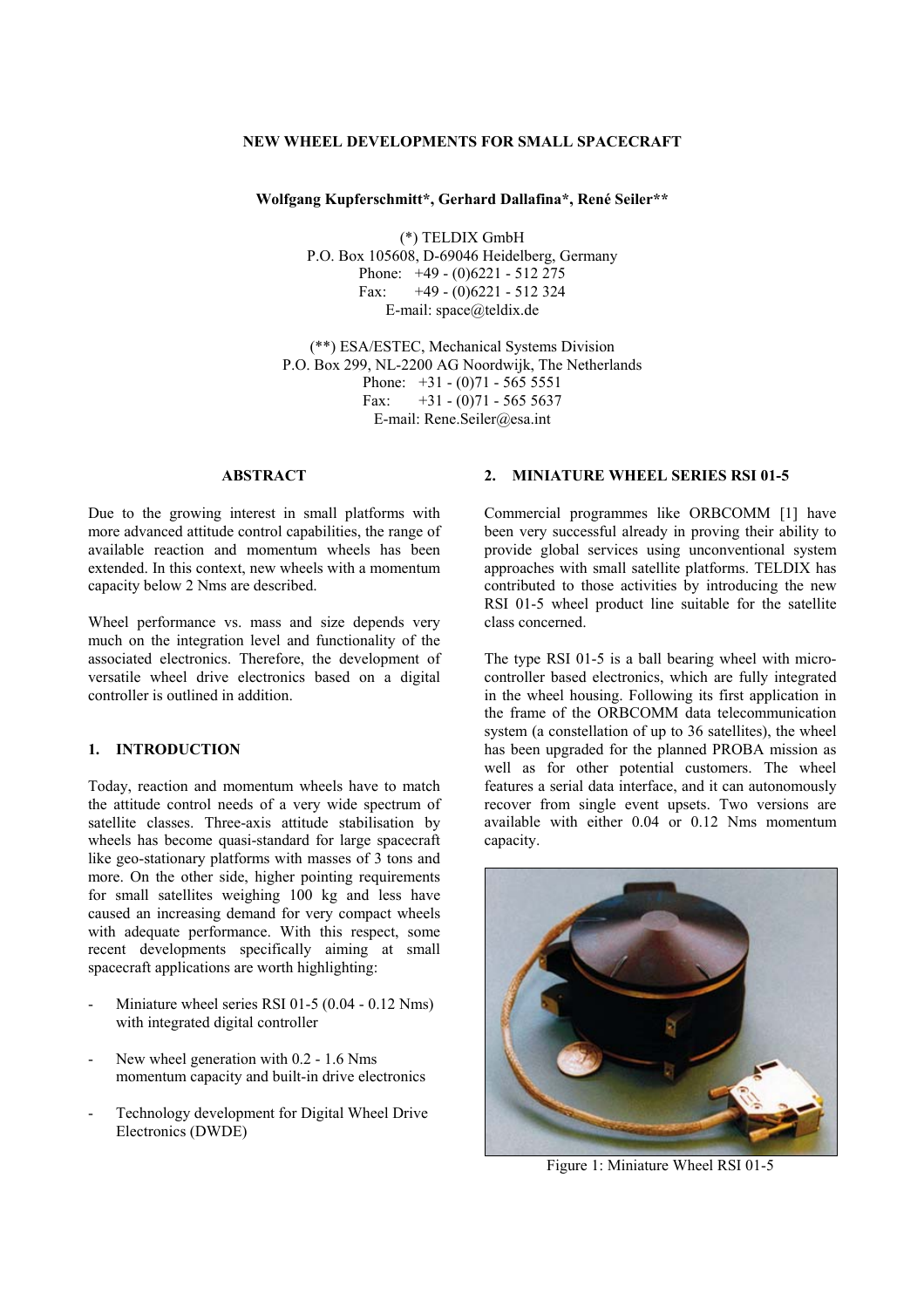## **NEW WHEEL DEVELOPMENTS FOR SMALL SPACECRAFT**

#### **Wolfgang Kupferschmitt\*, Gerhard Dallafina\*, René Seiler\*\***

(\*) TELDIX GmbH P.O. Box 105608, D-69046 Heidelberg, Germany Phone: +49 - (0)6221 - 512 275 Fax:  $+49 - (0)6221 - 512324$ E-mail: space@teldix.de

(\*\*) ESA/ESTEC, Mechanical Systems Division P.O. Box 299, NL-2200 AG Noordwijk, The Netherlands Phone:  $+31 - (0)71 - 5655551$ Fax:  $+31 - (0)71 - 56555637$ E-mail: Rene.Seiler@esa.int

# **ABSTRACT**

Due to the growing interest in small platforms with more advanced attitude control capabilities, the range of available reaction and momentum wheels has been extended. In this context, new wheels with a momentum capacity below 2 Nms are described.

Wheel performance vs. mass and size depends very much on the integration level and functionality of the associated electronics. Therefore, the development of versatile wheel drive electronics based on a digital controller is outlined in addition.

#### **1. INTRODUCTION**

Today, reaction and momentum wheels have to match the attitude control needs of a very wide spectrum of satellite classes. Three-axis attitude stabilisation by wheels has become quasi-standard for large spacecraft like geo-stationary platforms with masses of 3 tons and more. On the other side, higher pointing requirements for small satellites weighing 100 kg and less have caused an increasing demand for very compact wheels with adequate performance. With this respect, some recent developments specifically aiming at small spacecraft applications are worth highlighting:

- Miniature wheel series RSI 01-5  $(0.04 0.12$  Nms) with integrated digital controller
- New wheel generation with 0.2 1.6 Nms momentum capacity and built-in drive electronics
- Technology development for Digital Wheel Drive Electronics (DWDE)

# **2. MINIATURE WHEEL SERIES RSI 01-5**

Commercial programmes like ORBCOMM [1] have been very successful already in proving their ability to provide global services using unconventional system approaches with small satellite platforms. TELDIX has contributed to those activities by introducing the new RSI 01-5 wheel product line suitable for the satellite class concerned.

The type RSI 01-5 is a ball bearing wheel with microcontroller based electronics, which are fully integrated in the wheel housing. Following its first application in the frame of the ORBCOMM data telecommunication system (a constellation of up to 36 satellites), the wheel has been upgraded for the planned PROBA mission as well as for other potential customers. The wheel features a serial data interface, and it can autonomously recover from single event upsets. Two versions are available with either 0.04 or 0.12 Nms momentum capacity.



Figure 1: Miniature Wheel RSI 01-5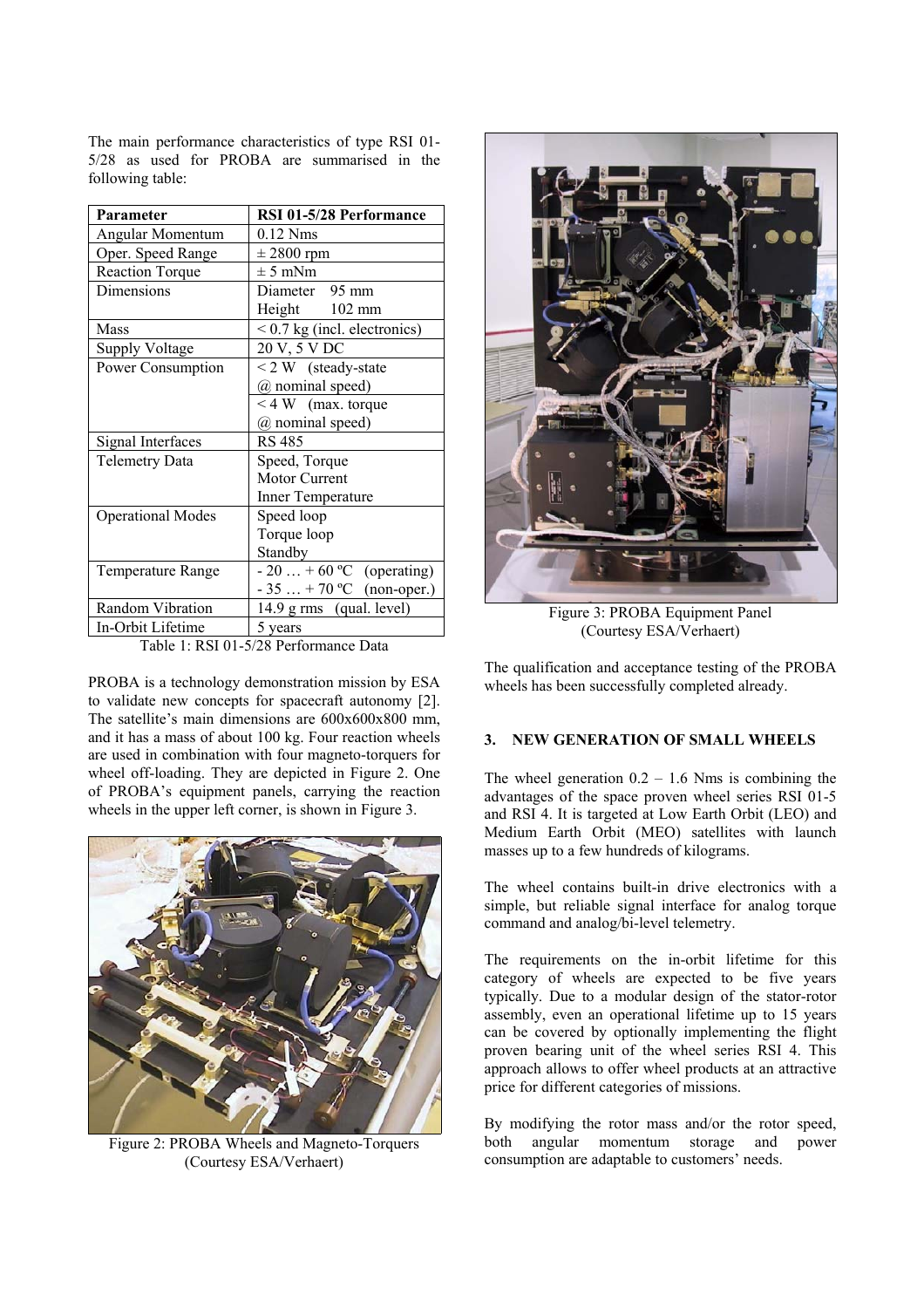The main performance characteristics of type RSI 01- 5/28 as used for PROBA are summarised in the following table:

| Parameter                | RSI 01-5/28 Performance        |
|--------------------------|--------------------------------|
| Angular Momentum         | $0.12$ Nms                     |
| Oper. Speed Range        | $\pm$ 2800 rpm                 |
| <b>Reaction Torque</b>   | $\pm$ 5 mNm                    |
| Dimensions               | Diameter 95 mm                 |
|                          | Height 102 mm                  |
| Mass                     | $< 0.7$ kg (incl. electronics) |
| <b>Supply Voltage</b>    | 20 V, 5 V DC                   |
| Power Consumption        | $< 2 W$ (steady-state          |
|                          | (a) nominal speed)             |
|                          | $<$ 4 W (max. torque           |
|                          | (a) nominal speed)             |
| Signal Interfaces        | <b>RS 485</b>                  |
| <b>Telemetry Data</b>    | Speed, Torque                  |
|                          | <b>Motor Current</b>           |
|                          | Inner Temperature              |
| <b>Operational Modes</b> | Speed loop                     |
|                          | Torque loop                    |
|                          | Standby                        |
| Temperature Range        | $-20 + 60$ °C (operating)      |
|                          | $-35+70$ °C (non-oper.)        |
| Random Vibration         | 14.9 g rms (qual. level)       |
| In-Orbit Lifetime        | 5 years                        |

Table 1: RSI 01-5/28 Performance Data

PROBA is a technology demonstration mission by ESA to validate new concepts for spacecraft autonomy [2]. The satellite's main dimensions are 600x600x800 mm, and it has a mass of about 100 kg. Four reaction wheels are used in combination with four magneto-torquers for wheel off-loading. They are depicted in Figure 2. One of PROBA's equipment panels, carrying the reaction wheels in the upper left corner, is shown in Figure 3.



Figure 2: PROBA Wheels and Magneto-Torquers (Courtesy ESA/Verhaert)



Figure 3: PROBA Equipment Panel (Courtesy ESA/Verhaert)

The qualification and acceptance testing of the PROBA wheels has been successfully completed already.

# **3. NEW GENERATION OF SMALL WHEELS**

The wheel generation  $0.2 - 1.6$  Nms is combining the advantages of the space proven wheel series RSI 01-5 and RSI 4. It is targeted at Low Earth Orbit (LEO) and Medium Earth Orbit (MEO) satellites with launch masses up to a few hundreds of kilograms.

The wheel contains built-in drive electronics with a simple, but reliable signal interface for analog torque command and analog/bi-level telemetry.

The requirements on the in-orbit lifetime for this category of wheels are expected to be five years typically. Due to a modular design of the stator-rotor assembly, even an operational lifetime up to 15 years can be covered by optionally implementing the flight proven bearing unit of the wheel series RSI 4. This approach allows to offer wheel products at an attractive price for different categories of missions.

By modifying the rotor mass and/or the rotor speed, both angular momentum storage and power consumption are adaptable to customers' needs.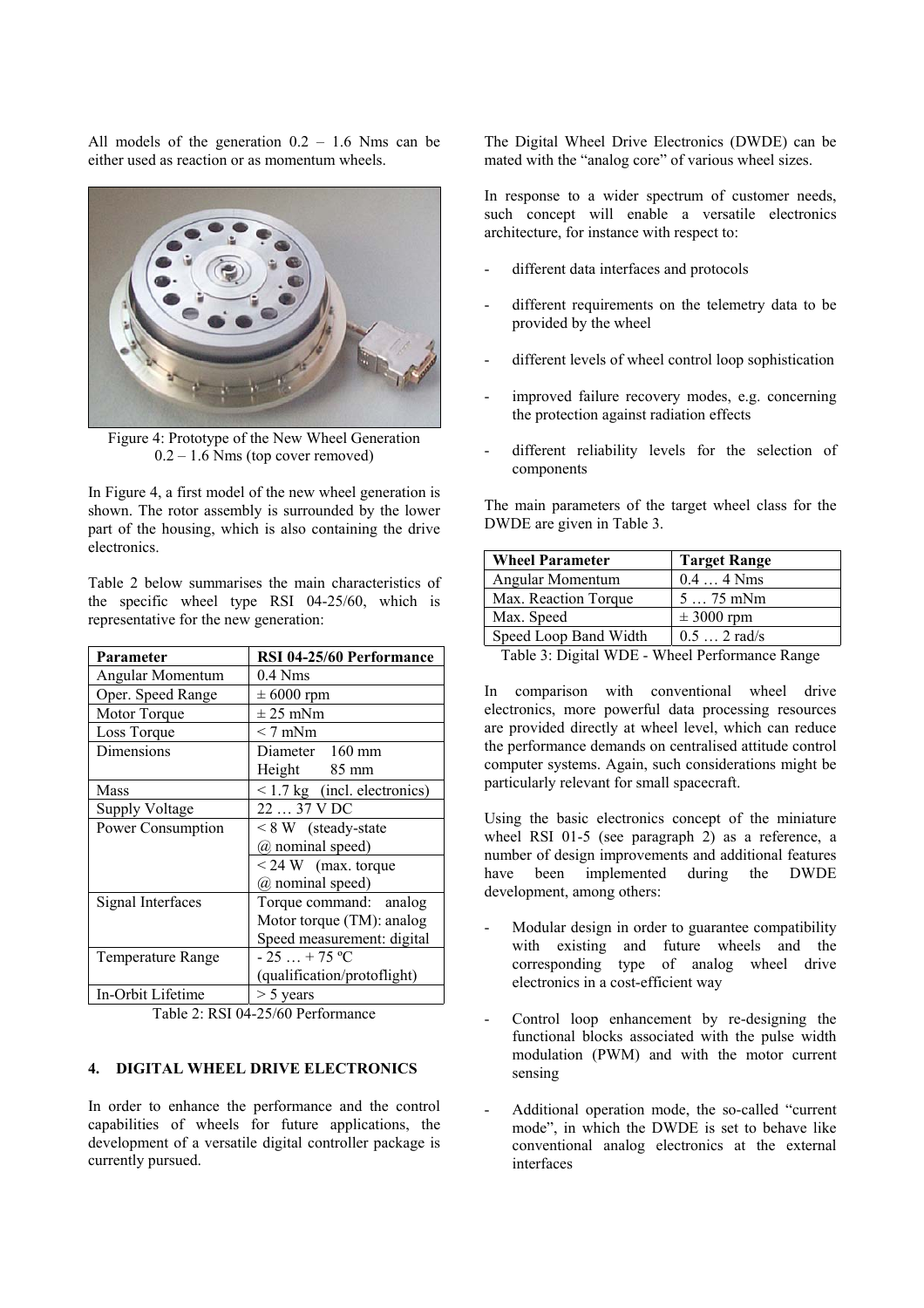All models of the generation  $0.2 - 1.6$  Nms can be either used as reaction or as momentum wheels.



Figure 4: Prototype of the New Wheel Generation  $0.2 - 1.6$  Nms (top cover removed)

In Figure 4, a first model of the new wheel generation is shown. The rotor assembly is surrounded by the lower part of the housing, which is also containing the drive electronics.

Table 2 below summarises the main characteristics of the specific wheel type RSI 04-25/60, which is representative for the new generation:

| Parameter             | RSI 04-25/60 Performance          |
|-----------------------|-----------------------------------|
| Angular Momentum      | $0.4$ Nms                         |
| Oper. Speed Range     | $\pm 6000$ rpm                    |
| Motor Torque          | $\pm$ 25 mNm                      |
| Loss Torque           | $< 7$ mNm                         |
| Dimensions            | Diameter 160 mm                   |
|                       | Height 85 mm                      |
| Mass                  | $\leq$ 1.7 kg (incl. electronics) |
| <b>Supply Voltage</b> | 22  37 V DC                       |
| Power Consumption     | $\leq 8$ W (steady-state          |
|                       | @ nominal speed)                  |
|                       | $\leq$ 24 W (max. torque          |
|                       | (a) nominal speed)                |
| Signal Interfaces     | Torque command: analog            |
|                       | Motor torque (TM): analog         |
|                       | Speed measurement: digital        |
| Temperature Range     | $-25+75$ °C                       |
|                       | (qualification/protoflight)       |
| In-Orbit Lifetime     | $>$ 5 years                       |

Table 2: RSI 04-25/60 Performance

# **4. DIGITAL WHEEL DRIVE ELECTRONICS**

In order to enhance the performance and the control capabilities of wheels for future applications, the development of a versatile digital controller package is currently pursued.

The Digital Wheel Drive Electronics (DWDE) can be mated with the "analog core" of various wheel sizes.

In response to a wider spectrum of customer needs, such concept will enable a versatile electronics architecture, for instance with respect to:

- different data interfaces and protocols
- different requirements on the telemetry data to be provided by the wheel
- different levels of wheel control loop sophistication
- improved failure recovery modes, e.g. concerning the protection against radiation effects
- different reliability levels for the selection of components

The main parameters of the target wheel class for the DWDE are given in Table 3.

| <b>Wheel Parameter</b>                                            | <b>Target Range</b> |  |
|-------------------------------------------------------------------|---------------------|--|
| Angular Momentum                                                  | $0.44$ Nms          |  |
| Max. Reaction Torque                                              | $575$ mNm           |  |
| Max. Speed                                                        | $\pm$ 3000 rpm      |  |
| Speed Loop Band Width                                             | $0.5$ 2 rad/s       |  |
| $T_2$ kla $\mathcal{D}$ . Diaital WDE.<br>Whool Dorformongo Dange |                     |  |

Table 3: Digital WDE - Wheel Performance Range

In comparison with conventional wheel drive electronics, more powerful data processing resources are provided directly at wheel level, which can reduce the performance demands on centralised attitude control computer systems. Again, such considerations might be particularly relevant for small spacecraft.

Using the basic electronics concept of the miniature wheel RSI 01-5 (see paragraph 2) as a reference, a number of design improvements and additional features have been implemented during the DWDE development, among others:

- Modular design in order to guarantee compatibility with existing and future wheels and the corresponding type of analog wheel drive electronics in a cost-efficient way
- Control loop enhancement by re-designing the functional blocks associated with the pulse width modulation (PWM) and with the motor current sensing
- Additional operation mode, the so-called "current mode", in which the DWDE is set to behave like conventional analog electronics at the external interfaces